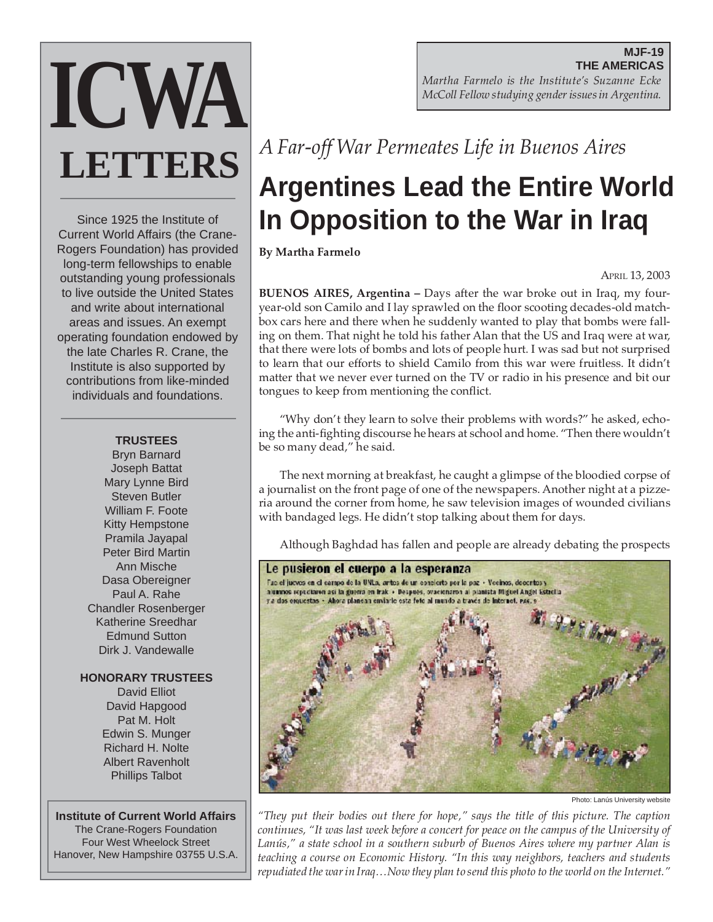# **ICWA LETTERS**

Since 1925 the Institute of Current World Affairs (the Crane-Rogers Foundation) has provided long-term fellowships to enable outstanding young professionals to live outside the United States and write about international areas and issues. An exempt operating foundation endowed by the late Charles R. Crane, the Institute is also supported by contributions from like-minded individuals and foundations.

#### **TRUSTEES**

Bryn Barnard Joseph Battat Mary Lynne Bird Steven Butler William F. Foote Kitty Hempstone Pramila Jayapal Peter Bird Martin Ann Mische Dasa Obereigner Paul A. Rahe Chandler Rosenberger Katherine Sreedhar Edmund Sutton Dirk J. Vandewalle

#### **HONORARY TRUSTEES**

David Elliot David Hapgood Pat M. Holt Edwin S. Munger Richard H. Nolte Albert Ravenholt Phillips Talbot

#### **Institute of Current World Affairs**

The Crane-Rogers Foundation Four West Wheelock Street Hanover, New Hampshire 03755 U.S.A.

**MJF-19 THE AMERICAS** *Martha Farmelo is the Institute's Suzanne Ecke McColl Fellow studying gender issues in Argentina.*

### *A Far-off War Permeates Life in Buenos Aires*

## **Argentines Lead the Entire World In Opposition to the War in Iraq**

**By Martha Farmelo**

APRIL 13, 2003

**BUENOS AIRES, Argentina –** Days after the war broke out in Iraq, my fouryear-old son Camilo and I lay sprawled on the floor scooting decades-old matchbox cars here and there when he suddenly wanted to play that bombs were falling on them. That night he told his father Alan that the US and Iraq were at war, that there were lots of bombs and lots of people hurt. I was sad but not surprised to learn that our efforts to shield Camilo from this war were fruitless. It didn't matter that we never ever turned on the TV or radio in his presence and bit our tongues to keep from mentioning the conflict.

"Why don't they learn to solve their problems with words?" he asked, echoing the anti-fighting discourse he hears at school and home. "Then there wouldn't be so many dead," he said.

The next morning at breakfast, he caught a glimpse of the bloodied corpse of a journalist on the front page of one of the newspapers. Another night at a pizzeria around the corner from home, he saw television images of wounded civilians with bandaged legs. He didn't stop talking about them for days.

Although Baghdad has fallen and people are already debating the prospects



Photo: Lanús University website

*"They put their bodies out there for hope," says the title of this picture. The caption continues, "It was last week before a concert for peace on the campus of the University of Lanús," a state school in a southern suburb of Buenos Aires where my partner Alan is teaching a course on Economic History. "In this way neighbors, teachers and students repudiated the war in Iraq…Now they plan to send this photo to the world on the Internet."*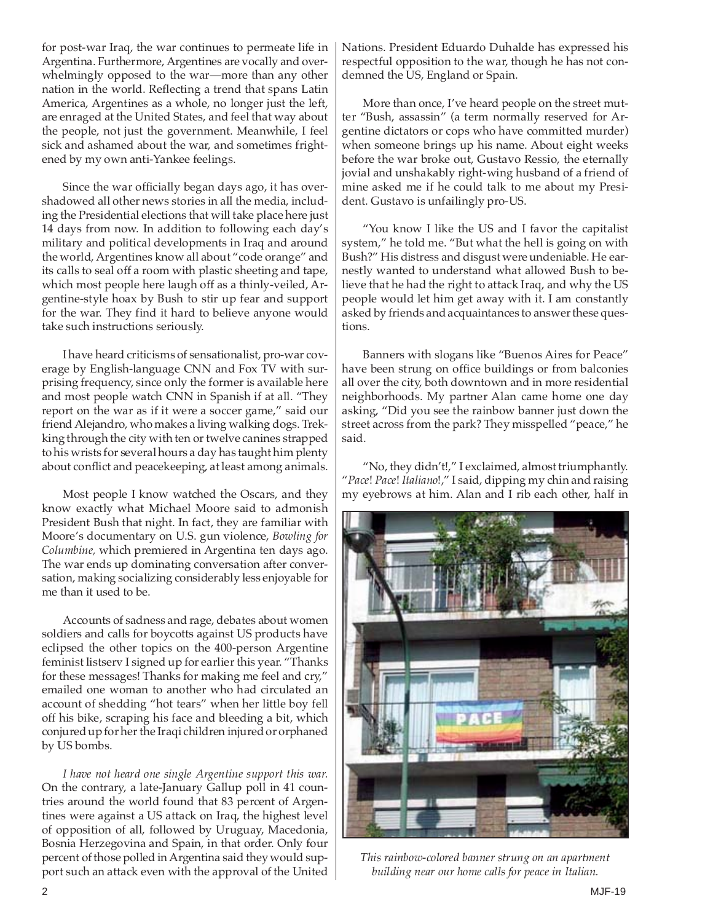for post-war Iraq, the war continues to permeate life in Argentina. Furthermore, Argentines are vocally and overwhelmingly opposed to the war—more than any other nation in the world. Reflecting a trend that spans Latin America, Argentines as a whole, no longer just the left, are enraged at the United States, and feel that way about the people, not just the government. Meanwhile, I feel sick and ashamed about the war, and sometimes frightened by my own anti-Yankee feelings.

Since the war officially began days ago, it has overshadowed all other news stories in all the media, including the Presidential elections that will take place here just 14 days from now. In addition to following each day's military and political developments in Iraq and around the world, Argentines know all about "code orange" and its calls to seal off a room with plastic sheeting and tape, which most people here laugh off as a thinly-veiled, Argentine-style hoax by Bush to stir up fear and support for the war. They find it hard to believe anyone would take such instructions seriously.

I have heard criticisms of sensationalist, pro-war coverage by English-language CNN and Fox TV with surprising frequency, since only the former is available here and most people watch CNN in Spanish if at all. "They report on the war as if it were a soccer game," said our friend Alejandro, who makes a living walking dogs. Trekking through the city with ten or twelve canines strapped to his wrists for several hours a day has taught him plenty about conflict and peacekeeping, at least among animals.

Most people I know watched the Oscars, and they know exactly what Michael Moore said to admonish President Bush that night. In fact, they are familiar with Moore's documentary on U.S. gun violence, *Bowling for Columbine,* which premiered in Argentina ten days ago. The war ends up dominating conversation after conversation, making socializing considerably less enjoyable for me than it used to be.

Accounts of sadness and rage, debates about women soldiers and calls for boycotts against US products have eclipsed the other topics on the 400-person Argentine feminist listserv I signed up for earlier this year. "Thanks for these messages! Thanks for making me feel and cry," emailed one woman to another who had circulated an account of shedding "hot tears" when her little boy fell off his bike, scraping his face and bleeding a bit, which conjured up for her the Iraqi children injured or orphaned by US bombs.

*I have not heard one single Argentine support this war.* On the contrary, a late-January Gallup poll in 41 countries around the world found that 83 percent of Argentines were against a US attack on Iraq, the highest level of opposition of all, followed by Uruguay, Macedonia, Bosnia Herzegovina and Spain, in that order. Only four percent of those polled in Argentina said they would support such an attack even with the approval of the United Nations. President Eduardo Duhalde has expressed his respectful opposition to the war, though he has not condemned the US, England or Spain.

More than once, I've heard people on the street mutter "Bush, assassin" (a term normally reserved for Argentine dictators or cops who have committed murder) when someone brings up his name. About eight weeks before the war broke out, Gustavo Ressio, the eternally jovial and unshakably right-wing husband of a friend of mine asked me if he could talk to me about my President. Gustavo is unfailingly pro-US.

"You know I like the US and I favor the capitalist system," he told me. "But what the hell is going on with Bush?" His distress and disgust were undeniable. He earnestly wanted to understand what allowed Bush to believe that he had the right to attack Iraq, and why the US people would let him get away with it. I am constantly asked by friends and acquaintances to answer these questions.

Banners with slogans like "Buenos Aires for Peace" have been strung on office buildings or from balconies all over the city, both downtown and in more residential neighborhoods. My partner Alan came home one day asking, "Did you see the rainbow banner just down the street across from the park? They misspelled "peace," he said.

"No, they didn't!," I exclaimed, almost triumphantly. "*Pace*! *Pace*! *Italiano*!," I said, dipping my chin and raising my eyebrows at him. Alan and I rib each other, half in



*This rainbow-colored banner strung on an apartment building near our home calls for peace in Italian.*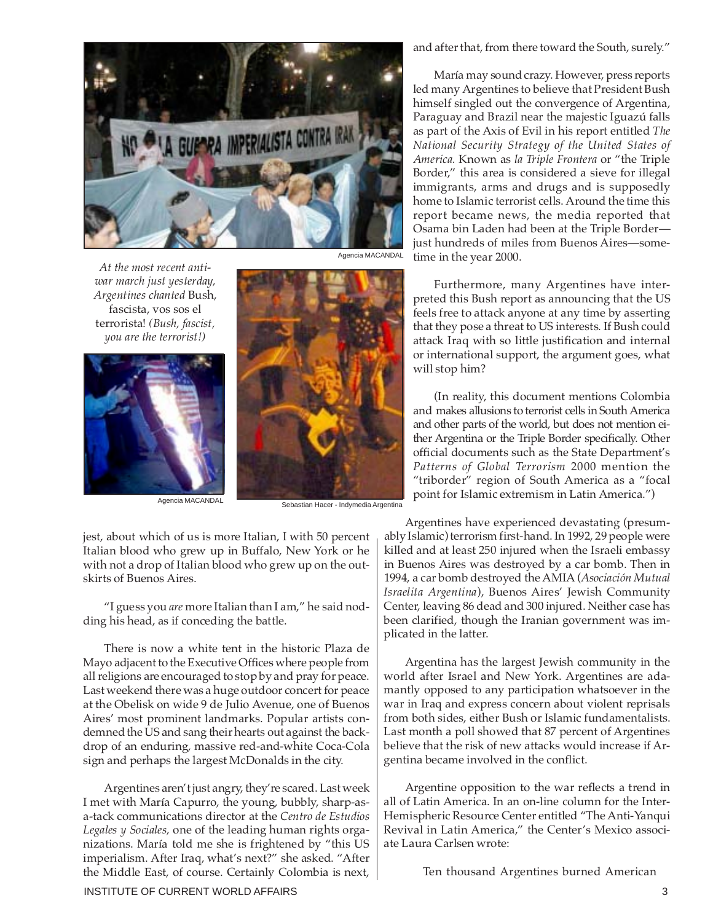

*At the most recent antiwar march just yesterday, Argentines chanted* Bush, fascista, vos sos el terrorista! *(Bush, fascist, you are the terrorist!)*



skirts of Buenos Aires.

Agencia MACANDAL **National Sebastian Hacer - Indymedia Argentina** 

jest, about which of us is more Italian, I with 50 percent Italian blood who grew up in Buffalo, New York or he with not a drop of Italian blood who grew up on the out-

"I guess you *are* more Italian than I am," he said nodding his head, as if conceding the battle.

There is now a white tent in the historic Plaza de Mayo adjacent to the Executive Offices where people from all religions are encouraged to stop by and pray for peace. Last weekend there was a huge outdoor concert for peace at the Obelisk on wide 9 de Julio Avenue, one of Buenos Aires' most prominent landmarks. Popular artists condemned the US and sang their hearts out against the backdrop of an enduring, massive red-and-white Coca-Cola sign and perhaps the largest McDonalds in the city.

Argentines aren't just angry, they're scared. Last week I met with María Capurro, the young, bubbly, sharp-asa-tack communications director at the *Centro de Estudios Legales y Sociales,* one of the leading human rights organizations. María told me she is frightened by "this US imperialism. After Iraq, what's next?" she asked. "After the Middle East, of course. Certainly Colombia is next, and after that, from there toward the South, surely."

María may sound crazy. However, press reports led many Argentines to believe that President Bush himself singled out the convergence of Argentina, Paraguay and Brazil near the majestic Iguazú falls as part of the Axis of Evil in his report entitled *The National Security Strategy of the United States of America.* Known as *la Triple Frontera* or "the Triple Border," this area is considered a sieve for illegal immigrants, arms and drugs and is supposedly home to Islamic terrorist cells. Around the time this report became news, the media reported that Osama bin Laden had been at the Triple Border just hundreds of miles from Buenos Aires—sometime in the year 2000.

Furthermore, many Argentines have interpreted this Bush report as announcing that the US feels free to attack anyone at any time by asserting that they pose a threat to US interests. If Bush could attack Iraq with so little justification and internal or international support, the argument goes, what will stop him?

(In reality, this document mentions Colombia and makes allusions to terrorist cells in South America and other parts of the world, but does not mention either Argentina or the Triple Border specifically. Other official documents such as the State Department's *Patterns of Global Terrorism* 2000 mention the "triborder" region of South America as a "focal point for Islamic extremism in Latin America.")

Argentines have experienced devastating (presumably Islamic) terrorism first-hand. In 1992, 29 people were killed and at least 250 injured when the Israeli embassy in Buenos Aires was destroyed by a car bomb. Then in 1994, a car bomb destroyed the AMIA (*Asociación Mutual Israelita Argentina*), Buenos Aires' Jewish Community Center, leaving 86 dead and 300 injured. Neither case has been clarified, though the Iranian government was implicated in the latter.

Argentina has the largest Jewish community in the world after Israel and New York. Argentines are adamantly opposed to any participation whatsoever in the war in Iraq and express concern about violent reprisals from both sides, either Bush or Islamic fundamentalists. Last month a poll showed that 87 percent of Argentines believe that the risk of new attacks would increase if Argentina became involved in the conflict.

Argentine opposition to the war reflects a trend in all of Latin America. In an on-line column for the Inter-Hemispheric Resource Center entitled "The Anti-Yanqui Revival in Latin America," the Center's Mexico associate Laura Carlsen wrote:

Ten thousand Argentines burned American

Agencia MACANDAL

#### INSTITUTE OF CURRENT WORLD AFFAIRS 3